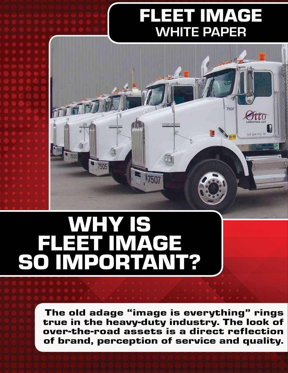## FLEET IMAGE WHITE PAPER



## WHY IS FLEET IMAGE SO IMPORTANT?

The old adage "image is everything" rings true in the heavy-duty industry. The look of over-the-road assets is a direct reflection of brand, perception of service and quality.